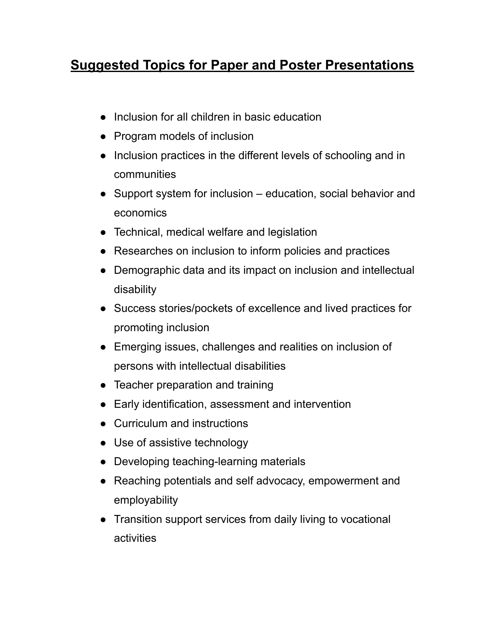## **Suggested Topics for Paper and Poster Presentations**

- Inclusion for all children in basic education
- Program models of inclusion
- Inclusion practices in the different levels of schooling and in communities
- Support system for inclusion education, social behavior and economics
- Technical, medical welfare and legislation
- Researches on inclusion to inform policies and practices
- Demographic data and its impact on inclusion and intellectual disability
- Success stories/pockets of excellence and lived practices for promoting inclusion
- Emerging issues, challenges and realities on inclusion of persons with intellectual disabilities
- Teacher preparation and training
- Early identification, assessment and intervention
- Curriculum and instructions
- Use of assistive technology
- Developing teaching-learning materials
- Reaching potentials and self advocacy, empowerment and employability
- Transition support services from daily living to vocational activities